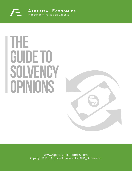

# **THE GUIDE TO** SOLVENCY **I OPINIONS**



www.AppraisalEconomics.com Copyright © 2015 Appraisal Economics Inc. All Rights Reserved.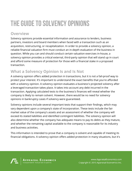# THE GUIDE TO SOLVENCY OPINIONS

#### **Overview**

Solvency opinions provide essential information and assurance to lenders, business partners, investors and board members when faced with a transaction such as an acquisition, restructuring, or recapitalization. In order to provide a solvency opinion, a reliable financial valuation firm must conduct an in-depth evaluation of the business in question. While you can and should conduct certain valuation exercises in-house, a solvency opinion provides a critical external, third-party opinion that will stand up in court and afford some measure of protection for those with a financial stake in a proposed transaction.

## **What a Solvency Opinion Is and Is Not**

A solvency opinion offers added protection in transactions, but it is not a fail-proof way to protect your interest. It's important to understand the exact benefits that you're afforded with a solvency opinion. A solvency opinion evaluates a business's projected solvency after a leveraged transaction takes place. It takes into account any debt incurred in the transaction. Applying calculated tests to the business's finances will reveal whether the company is likely to remain solvent. However, there would be no need for solvency opinions in bankruptcy cases if solvency were guaranteed.

Solvency opinions include several important tests that support their findings, which may vary dependent upon a company's state of incorporation. These tests include the fair market value of the company's assets and an assessment of whether the company will exceed its stated liabilities and identified contingent liabilities. The solvency opinion will also determine whether the company has adequate means to pay its debts as they mature, and whether the remaining capital available to the company is reasonable for its industry and business activities.

This information is intended to prove that a company is solvent and capable of meeting its financial obligations. A solvency opinion offers added protection in many situations, but it's

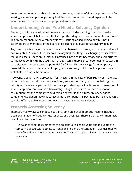important to understand that it is not an absolute guarantee of financial protection. After seeking a solvency opinion, you may find that the company is instead expected to be insolvent as a consequence of the proposed transaction.

#### **Understanding When You Need a Solvency Opinion**

Solvency opinions are valuable in many situations. Understanding when you need a solvency opinion will help ensure that you get the adequate documentation taken care of in a timely manner. When a company is restructuring or acquiring a new business, stockholders or members of the board of directors should ask for a solvency opinion.

Any time there is a major transfer of wealth or change in structure, a company's value will naturally shift. As a result, equity holders may find that they're exchanging equity stakes for liquid assets. There are numerous instances in which it's necessary and even prudent to finance growth with the acquisition of debt. While there's great potential for success in such situations, there's also the potential for failure. This may range from temporary financial distress to complete bankruptcy, and a solvency opinion will help investors and stakeholders assess the situation.

A solvency opinion offers protection for investors in the case of bankruptcy or in the face of debt refinancing. With a solvency opinion, an investing party can prove their right to priority or preferential payment if they have provided capital in a leveraged transaction. A solvency opinion can prove in a bankruptcy ruling that the investor had a reasonable assumption that the company would remain solvent in the future. An independent company's evaluation may in fact reveal that a company is expected to be insolvent, which can also offer valuable insights to sway an investor's or board's decision.

#### **Properly Assessing Solvency**

There are many ways to conduct a solvency opinion, but all methods need to include a close examination of certain critical aspects of a business. There are three common tests used in a solvency opinion.

• A balance sheet test compares the present fair saleable value and fair value of a company's assets with both its current liabilities and the contingent liabilities that will take effect after the leveraged transaction. The company's liabilities are typically given face value.